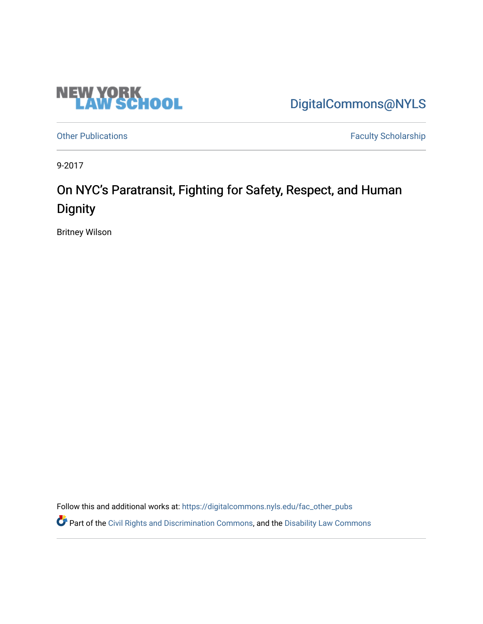

[DigitalCommons@NYLS](https://digitalcommons.nyls.edu/) 

[Other Publications](https://digitalcommons.nyls.edu/fac_other_pubs) **Faculty Scholarship Faculty Scholarship** 

9-2017

## On NYC's Paratransit, Fighting for Safety, Respect, and Human **Dignity**

Britney Wilson

Follow this and additional works at: [https://digitalcommons.nyls.edu/fac\\_other\\_pubs](https://digitalcommons.nyls.edu/fac_other_pubs?utm_source=digitalcommons.nyls.edu%2Ffac_other_pubs%2F765&utm_medium=PDF&utm_campaign=PDFCoverPages)

Part of the [Civil Rights and Discrimination Commons,](http://network.bepress.com/hgg/discipline/585?utm_source=digitalcommons.nyls.edu%2Ffac_other_pubs%2F765&utm_medium=PDF&utm_campaign=PDFCoverPages) and the [Disability Law Commons](http://network.bepress.com/hgg/discipline/1074?utm_source=digitalcommons.nyls.edu%2Ffac_other_pubs%2F765&utm_medium=PDF&utm_campaign=PDFCoverPages)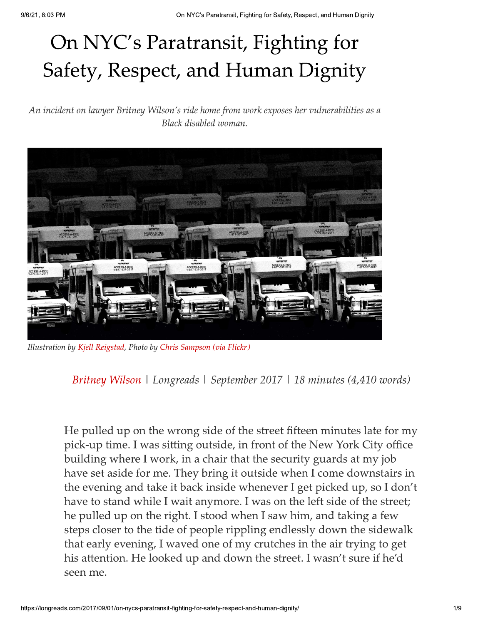## <sup>9:03 PM</sup> <sup>On NYC's Paratransit, Fighting for Safety, Respect, and Human Dignity<br>**On NYC's Paratransit, Fighting for**<br>Safety, Respect, and Human Dignity</sup> On NYC's Paratransit, Fighting for

An incident on lawyer Britney Wilson's ride home from work exposes her vulnerabilities as a Black disabled woman.



Illustration by Kjell Reigstad, Photo by Chris Sampson (via Flickr)

Britney Wilson | Longreads | September 2017 | 18 minutes (4,410 words)

his attention. H<br>seen me.<br>https://longreads.com/2017/09/01/on-nycs or. He looked up and down the street. I was<br>on-nycs-paratransit-fighting-for-safety-respect-and-human-dignity/ He pulled up on the wrong side of the street fifteen minutes late for my pick-up time. I was sitting outside, in front of the New York City office building where I work, in a chair that the security guards at my job have set aside for me. They bring it outside when I come downstairs in the evening and take it back inside whenever I get picked up, so I don't have to stand while I wait anymore. I was on the left side of the street; he pulled up on the right. I stood when I saw him, and taking a few steps closer to the tide of people rippling endlessly down the sidewalk that early evening, I waved one of my crutches in the air trying to get his attention. He looked up and down the street. I wasn't sure if he'd seen me.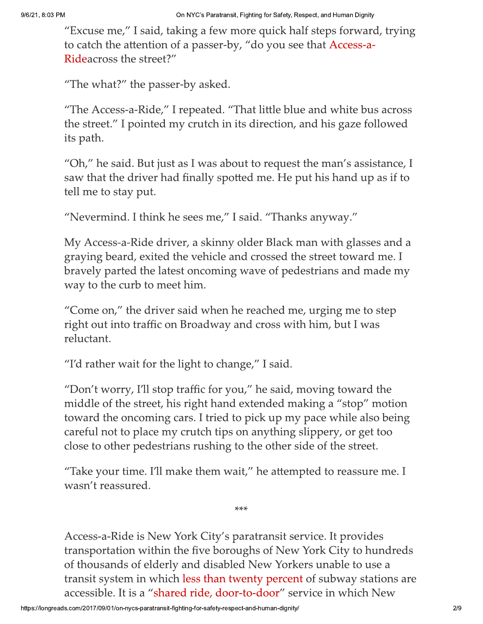"Excuse me," I said, taking a few more quick half steps forward, trying to catch the attention of a passer-by, "do you see that Access-a-Rideacross the street?"

"The what?" the passer-by asked.

"The Access-a-Ride," I repeated. "That little blue and white bus across the street." I pointed my crutch in its direction, and his gaze followed its path.

"Oh," he said. But just as I was about to request the man's assistance, I saw that the driver had finally spotted me. He put his hand up as if to tell me to stay put.

"Nevermind. I think he sees me," I said. "Thanks anyway."

My Access-a-Ride driver, a skinny older Black man with glasses and a graying beard, exited the vehicle and crossed the street toward me. I bravely parted the latest oncoming wave of pedestrians and made my way to the curb to meet him.

"Come on," the driver said when he reached me, urging me to step right out into traffic on Broadway and cross with him, but I was reluctant.

"I'd rather wait for the light to change," I said.

"Don't worry, I'll stop traffic for you," he said, moving toward the middle of the street, his right hand extended making a "stop" motion toward the oncoming cars. I tried to pick up my pace while also being careful not to place my crutch tips on anything slippery, or get too close to other pedestrians rushing to the other side of the street.

"Take your time. I'll make them wait," he attempted to reassure me. I wasn't reassured.

 $***$ 

Access-a-Ride is New York City's paratransit service. It provides transportation within the five boroughs of New York City to hundreds of thousands of elderly and disabled New Yorkers unable to use a transit system in which less than twenty percent of subway stations are accessible. It is a "shared ride, door-to-door" service in which New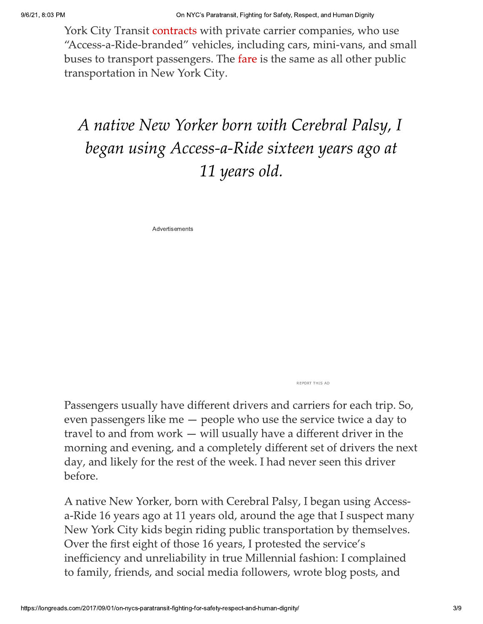York City Transit contracts with private carrier companies, who use "Access-a-Ride-branded" vehicles, including cars, mini-vans, and small buses to transport passengers. The fare is the same as all other public transportation in New York City.

## A native New Yorker born with Cerebral Palsy, I began using Access-a-Ride sixteen years ago at 11 years old.

Advertisements

Passengers usually have different drivers and carriers for each trip. So, even passengers like me - people who use the service twice a day to travel to and from work - will usually have a different driver in the morning and evening, and a completely different set of drivers the next day, and likely for the rest of the week. I had never seen this driver before.

REPORT THIS AD

A native New Yorker, born with Cerebral Palsy, I began using Accessa-Ride 16 years ago at 11 years old, around the age that I suspect many New York City kids begin riding public transportation by themselves. Over the first eight of those 16 years, I protested the service's inefficiency and unreliability in true Millennial fashion: I complained to family, friends, and social media followers, wrote blog posts, and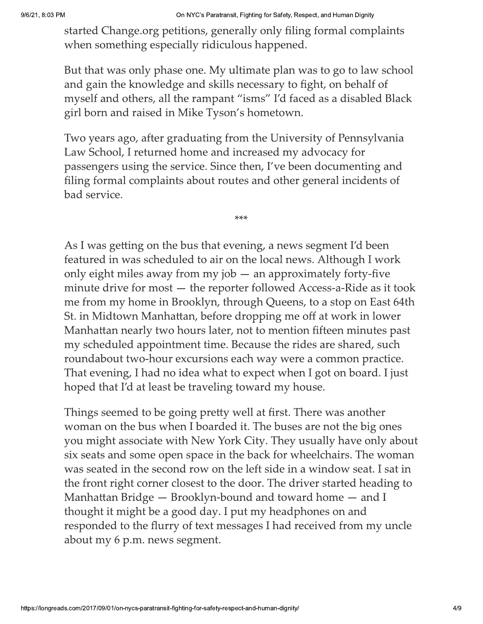started Change.org petitions, generally only filing formal complaints when something especially ridiculous happened.

But that was only phase one. My ultimate plan was to go to law school and gain the knowledge and skills necessary to fight, on behalf of myself and others, all the rampant "isms" I'd faced as a disabled Black girl born and raised in Mike Tyson's hometown.

Two years ago, after graduating from the University of Pennsylvania Law School, I returned home and increased my advocacy for passengers using the service. Since then, I've been documenting and filing formal complaints about routes and other general incidents of bad service.

\*\*\*

As I was getting on the bus that evening, a news segment I'd been featured in was scheduled to air on the local news. Although I work only eight miles away from my job  $-$  an approximately forty-five minute drive for most - the reporter followed Access-a-Ride as it took me from my home in Brooklyn, through Queens, to a stop on East 64th St. in Midtown Manhattan, before dropping me off at work in lower Manhattan nearly two hours later, not to mention fifteen minutes past my scheduled appointment time. Because the rides are shared, such roundabout two-hour excursions each way were a common practice. That evening, I had no idea what to expect when I got on board. I just hoped that I'd at least be traveling toward my house.

Things seemed to be going pretty well at first. There was another woman on the bus when I boarded it. The buses are not the big ones you might associate with New York City. They usually have only about six seats and some open space in the back for wheelchairs. The woman was seated in the second row on the left side in a window seat. I sat in the front right corner closest to the door. The driver started heading to Manhattan Bridge - Brooklyn-bound and toward home - and I thought it might be a good day. I put my headphones on and responded to the flurry of text messages I had received from my uncle about my 6 p.m. news segment.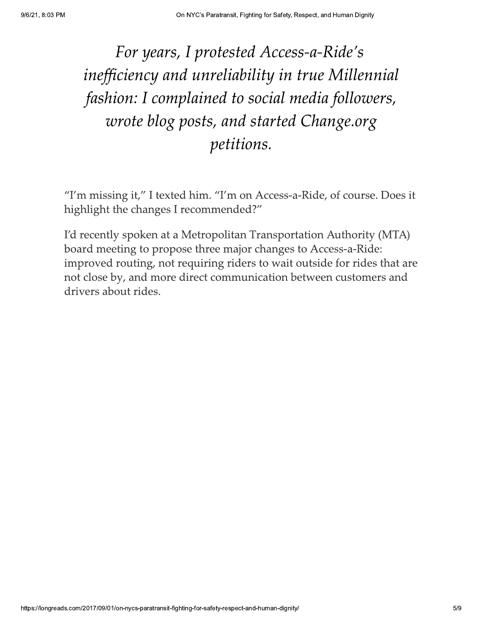<sup>0n NYC's Paratransit, Fighting for Safety, Respect, and Human Dignity<br>For years, I protested Access-a-Ride's<br>inefficiency and unreliability in true Millennial</sup> For years, I protested Access-a-Ride's inefficiency and unreliability in true Millennial fashion: I complained to social media followers, wrote blog posts, and started Change.org petitions.

"I'm missing it," I texted him. "I'm on Access-a-Ride, of course. Does it highlight the changes I recommended?"

I'd recently spoken at a Metropolitan Transportation Authority (MTA) board meeting to propose three major changes to Access-a-Ride: improved routing, not requiring riders to wait outside for rides that are not close by, and more direct communication between customers and drivers about rides.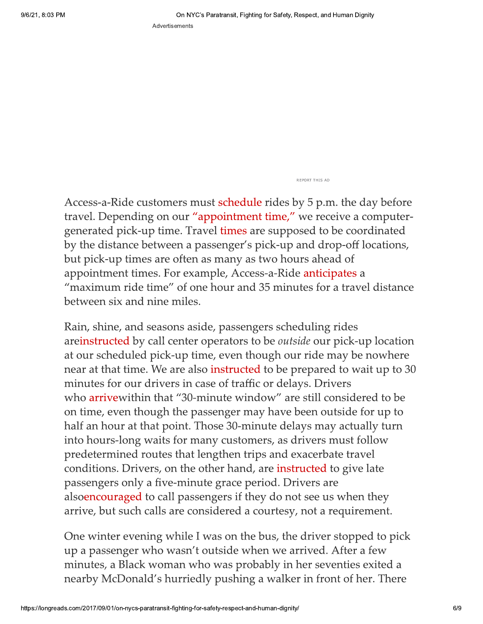Advertisements

REPORT THIS AD

Access-a-Ride customers must schedule rides by 5 p.m. the day before travel. Depending on our "appointment time," we receive a computergenerated pick-up time. Travel times are supposed to be coordinated by the distance between a passenger's pick-up and drop-off locations, but pick-up times are often as many as two hours ahead of appointment times. For example, Access-a-Ride anticipates a "maximum ride time" of one hour and 35 minutes for a travel distance between six and nine miles.

Rain, shine, and seasons aside, passengers scheduling rides areinstructed by call center operators to be *outside* our pick-up location at our scheduled pick-up time, even though our ride may be nowhere near at that time. We are also instructed to be prepared to wait up to 30 minutes for our drivers in case of traffic or delays. Drivers who arrivewithin that "30-minute window" are still considered to be on time, even though the passenger may have been outside for up to half an hour at that point. Those 30-minute delays may actually turn into hours-long waits for many customers, as drivers must follow predetermined routes that lengthen trips and exacerbate travel conditions. Drivers, on the other hand, are instructed to give late passengers only a five-minute grace period. Drivers are alsoencouraged to call passengers if they do not see us when they arrive, but such calls are considered a courtesy, not a requirement.

One winter evening while I was on the bus, the driver stopped to pick up a passenger who wasn't outside when we arrived. After a few minutes, a Black woman who was probably in her seventies exited a nearby McDonald's hurriedly pushing a walker in front of her. There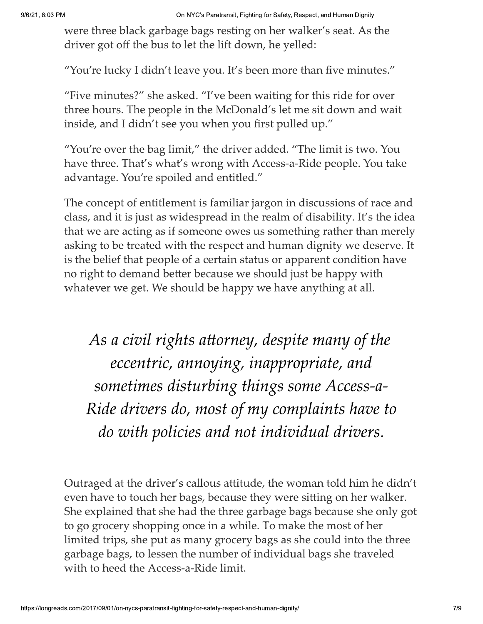were three black garbage bags resting on her walker's seat. As the driver got off the bus to let the lift down, he yelled:

"You're lucky I didn't leave you. It's been more than five minutes."

"Five minutes?" she asked. "I've been waiting for this ride for over three hours. The people in the McDonald's let me sit down and wait inside, and I didn't see you when you first pulled up."

"You're over the bag limit," the driver added. "The limit is two. You have three. That's what's wrong with Access-a-Ride people. You take advantage. You're spoiled and entitled."

The concept of entitlement is familiar jargon in discussions of race and class, and it is just as widespread in the realm of disability. It's the idea that we are acting as if someone owes us something rather than merely asking to be treated with the respect and human dignity we deserve. It is the belief that people of a certain status or apparent condition have no right to demand better because we should just be happy with whatever we get. We should be happy we have anything at all.

As a civil rights attorney, despite many of the eccentric, annoying, inappropriate, and sometimes disturbing things some Access-a-Ride drivers do, most of my complaints have to do with policies and not individual drivers.

Outraged at the driver's callous attitude, the woman told him he didn't even have to touch her bags, because they were sitting on her walker. She explained that she had the three garbage bags because she only got to go grocery shopping once in a while. To make the most of her limited trips, she put as many grocery bags as she could into the three garbage bags, to lessen the number of individual bags she traveled with to heed the Access-a-Ride limit.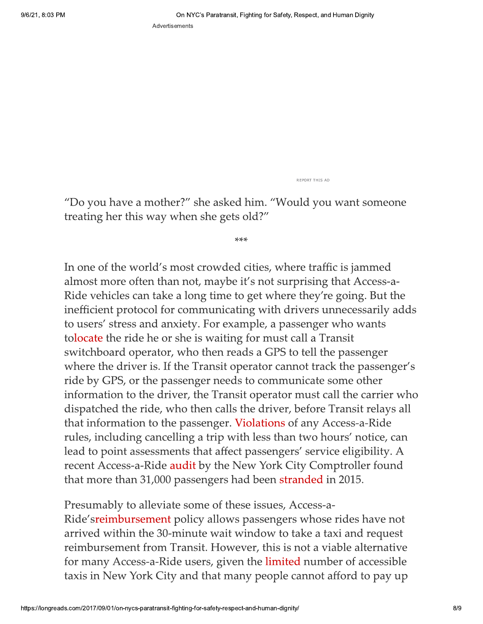REPORT THIS AD

Advertisements

"Do you have a mother?" she asked him. "Would you want someone treating her this way when she gets old?"

\*\*\*

In one of the world's most crowded cities, where traffic is jammed almost more often than not, maybe it's not surprising that Access-a-Ride vehicles can take a long time to get where they're going. But the inefficient protocol for communicating with drivers unnecessarily adds to users' stress and anxiety. For example, a passenger who wants tolocate the ride he or she is waiting for must call a Transit switchboard operator, who then reads a GPS to tell the passenger where the driver is. If the Transit operator cannot track the passenger's ride by GPS, or the passenger needs to communicate some other information to the driver, the Transit operator must call the carrier who dispatched the ride, who then calls the driver, before Transit relays all that information to the passenger. Violations of any Access-a-Ride rules, including cancelling a trip with less than two hours' notice, can lead to point assessments that affect passengers' service eligibility. A recent Access-a-Ride audit by the New York City Comptroller found that more than 31,000 passengers had been stranded in 2015.

Presumably to alleviate some of these issues, Access-a-Ride'sreimbursement policy allows passengers whose rides have not arrived within the 30-minute wait window to take a taxi and request reimbursement from Transit. However, this is not a viable alternative for many Access-a-Ride users, given the limited number of accessible taxis in New York City and that many people cannot afford to pay up